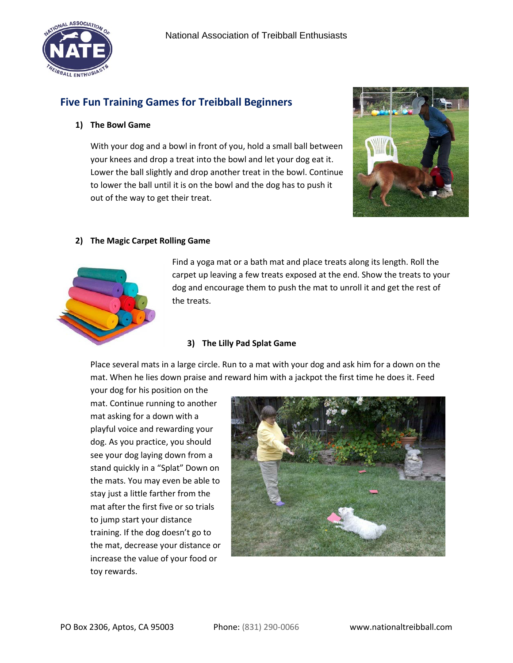

# **Five Fun Training Games for Treibball Beginners**

#### **1) The Bowl Game**

With your dog and a bowl in front of you, hold a small ball between your knees and drop a treat into the bowl and let your dog eat it. Lower the ball slightly and drop another treat in the bowl. Continue to lower the ball until it is on the bowl and the dog has to push it out of the way to get their treat.



### **2) The Magic Carpet Rolling Game**



Find a yoga mat or a bath mat and place treats along its length. Roll the carpet up leaving a few treats exposed at the end. Show the treats to your dog and encourage them to push the mat to unroll it and get the rest of the treats.

#### **3) The Lilly Pad Splat Game**

Place several mats in a large circle. Run to a mat with your dog and ask him for a down on the mat. When he lies down praise and reward him with a jackpot the first time he does it. Feed

your dog for his position on the mat. Continue running to another mat asking for a down with a playful voice and rewarding your dog. As you practice, you should see your dog laying down from a stand quickly in a "Splat" Down on the mats. You may even be able to stay just a little farther from the mat after the first five or so trials to jump start your distance training. If the dog doesn't go to the mat, decrease your distance or increase the value of your food or toy rewards.